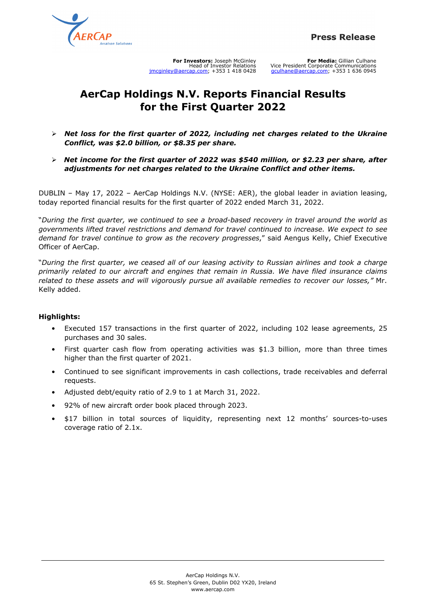

**For Investors:** Joseph McGinley Head of Investor Relations jmcginley@aercap.com; +353 1 418 0428

**For Media:** Gillian Culhane Vice President Corporate Communications gculhane@aercap.com; +353 1 636 0945

# **AerCap Holdings N.V. Reports Financial Results for the First Quarter 2022**

- $\triangleright$  Net loss for the first quarter of 2022, including net charges related to the Ukraine *Conflict, was \$2.0 billion, or \$8.35 per share.*
- Ø *Net income for the first quarter of 2022 was \$540 million, or \$2.23 per share, after adjustments for net charges related to the Ukraine Conflict and other items.*

DUBLIN – May 17, 2022 – AerCap Holdings N.V. (NYSE: AER), the global leader in aviation leasing, today reported financial results for the first quarter of 2022 ended March 31, 2022.

"*During the first quarter, we continued to see a broad-based recovery in travel around the world as governments lifted travel restrictions and demand for travel continued to increase. We expect to see demand for travel continue to grow as the recovery progresses*," said Aengus Kelly, Chief Executive Officer of AerCap.

"*During the first quarter, we ceased all of our leasing activity to Russian airlines and took a charge primarily related to our aircraft and engines that remain in Russia. We have filed insurance claims related to these assets and will vigorously pursue all available remedies to recover our losses,"* Mr. Kelly added.

## **Highlights:**

- Executed 157 transactions in the first quarter of 2022, including 102 lease agreements, 25 purchases and 30 sales.
- First quarter cash flow from operating activities was  $$1.3$  billion, more than three times higher than the first quarter of 2021.
- Continued to see significant improvements in cash collections, trade receivables and deferral requests.
- Adjusted debt/equity ratio of 2.9 to 1 at March 31, 2022.
- 92% of new aircraft order book placed through 2023.
- \$17 billion in total sources of liquidity, representing next 12 months' sources-to-uses coverage ratio of 2.1x.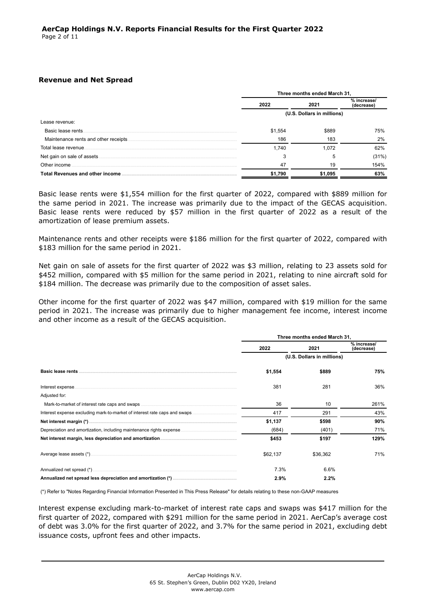#### **Revenue and Net Spread**

|                                  | Three months ended March 31, |         |                          |
|----------------------------------|------------------------------|---------|--------------------------|
|                                  | 2022                         | 2021    | % increase<br>(decrease) |
|                                  | (U.S. Dollars in millions)   |         |                          |
| Lease revenue:                   |                              |         |                          |
| Basic lease rents.               | \$1.554                      | \$889   | 75%                      |
|                                  | 186                          | 183     | 2%                       |
| Total lease revenue.             | 1.740                        | 1.072   | 62%                      |
|                                  |                              |         | (31%)                    |
| Other income                     | 47                           | 19      | 154%                     |
| Total Revenues and other income. | \$1,790                      | \$1.095 | 63%                      |

Basic lease rents were \$1,554 million for the first quarter of 2022, compared with \$889 million for the same period in 2021. The increase was primarily due to the impact of the GECAS acquisition. Basic lease rents were reduced by \$57 million in the first quarter of 2022 as a result of the amortization of lease premium assets.

Maintenance rents and other receipts were \$186 million for the first quarter of 2022, compared with \$183 million for the same period in 2021.

Net gain on sale of assets for the first quarter of 2022 was \$3 million, relating to 23 assets sold for \$452 million, compared with \$5 million for the same period in 2021, relating to nine aircraft sold for \$184 million. The decrease was primarily due to the composition of asset sales.

Other income for the first quarter of 2022 was \$47 million, compared with \$19 million for the same period in 2021. The increase was primarily due to higher management fee income, interest income and other income as a result of the GECAS acquisition.

|               | Three months ended March 31, |                            |                           |
|---------------|------------------------------|----------------------------|---------------------------|
|               | 2022                         | 2021                       | % increase/<br>(decrease) |
|               |                              | (U.S. Dollars in millions) |                           |
|               | \$1,554                      | \$889                      | 75%                       |
|               | 381                          | 281                        | 36%                       |
| Adjusted for: |                              |                            |                           |
|               | 36                           | 10                         | 261%                      |
|               | 417                          | 291                        | 43%                       |
|               | \$1,137                      | \$598                      | 90%                       |
|               | (684)                        | (401)                      | 71%                       |
|               | \$453                        | \$197                      | 129%                      |
|               | \$62,137                     | \$36,362                   | 71%                       |
|               | 7.3%                         | 6.6%                       |                           |
|               | 2.9%                         | 2.2%                       |                           |

(\*) Refer to "Notes Regarding Financial Information Presented in This Press Release" for details relating to these non-GAAP measures

Interest expense excluding mark-to-market of interest rate caps and swaps was \$417 million for the first quarter of 2022, compared with \$291 million for the same period in 2021. AerCap's average cost of debt was 3.0% for the first quarter of 2022, and 3.7% for the same period in 2021, excluding debt issuance costs, upfront fees and other impacts.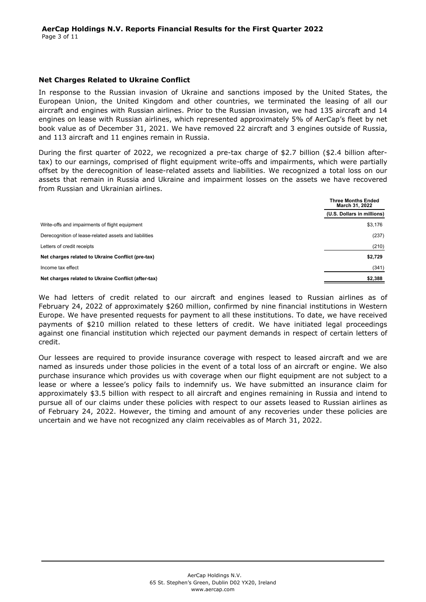### **Net Charges Related to Ukraine Conflict**

In response to the Russian invasion of Ukraine and sanctions imposed by the United States, the European Union, the United Kingdom and other countries, we terminated the leasing of all our aircraft and engines with Russian airlines. Prior to the Russian invasion, we had 135 aircraft and 14 engines on lease with Russian airlines, which represented approximately 5% of AerCap's fleet by net book value as of December 31, 2021. We have removed 22 aircraft and 3 engines outside of Russia, and 113 aircraft and 11 engines remain in Russia.

During the first quarter of 2022, we recognized a pre-tax charge of \$2.7 billion (\$2.4 billion aftertax) to our earnings, comprised of flight equipment write-offs and impairments, which were partially offset by the derecognition of lease-related assets and liabilities. We recognized a total loss on our assets that remain in Russia and Ukraine and impairment losses on the assets we have recovered from Russian and Ukrainian airlines.

|                                                       | <b>Three Months Ended</b><br>March 31, 2022 |  |
|-------------------------------------------------------|---------------------------------------------|--|
|                                                       | (U.S. Dollars in millions)                  |  |
| Write-offs and impairments of flight equipment        | \$3,176                                     |  |
| Derecognition of lease-related assets and liabilities | (237)                                       |  |
| Letters of credit receipts                            | (210)                                       |  |
| Net charges related to Ukraine Conflict (pre-tax)     | \$2,729                                     |  |
| Income tax effect                                     | (341)                                       |  |
| Net charges related to Ukraine Conflict (after-tax)   | \$2,388                                     |  |

We had letters of credit related to our aircraft and engines leased to Russian airlines as of February 24, 2022 of approximately \$260 million, confirmed by nine financial institutions in Western Europe. We have presented requests for payment to all these institutions. To date, we have received payments of \$210 million related to these letters of credit. We have initiated legal proceedings against one financial institution which rejected our payment demands in respect of certain letters of credit.

Our lessees are required to provide insurance coverage with respect to leased aircraft and we are named as insureds under those policies in the event of a total loss of an aircraft or engine. We also purchase insurance which provides us with coverage when our flight equipment are not subject to a lease or where a lessee's policy fails to indemnify us. We have submitted an insurance claim for approximately \$3.5 billion with respect to all aircraft and engines remaining in Russia and intend to pursue all of our claims under these policies with respect to our assets leased to Russian airlines as of February 24, 2022. However, the timing and amount of any recoveries under these policies are uncertain and we have not recognized any claim receivables as of March 31, 2022.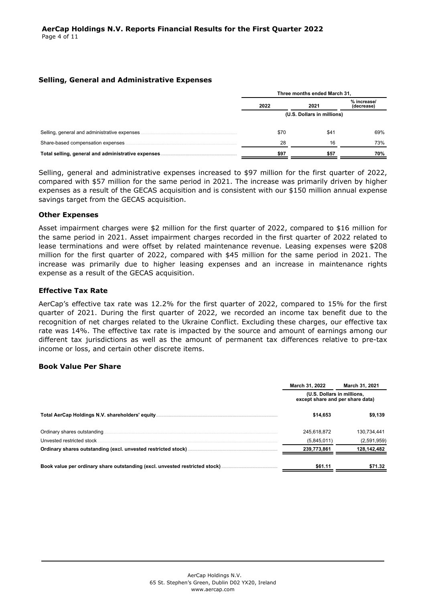### **Selling, General and Administrative Expenses**

|                                                     | Three months ended March 31, |      |                           |
|-----------------------------------------------------|------------------------------|------|---------------------------|
|                                                     | 2022                         | 2021 | % increase/<br>(decrease) |
|                                                     | (U.S. Dollars in millions)   |      |                           |
| Selling, general and administrative expenses.       | \$70                         | \$41 | 69%                       |
| Share-based compensation expenses                   | 28                           | 16   | 73%                       |
| Total selling, general and administrative expenses. | \$97                         | \$57 | 70%                       |

Selling, general and administrative expenses increased to \$97 million for the first quarter of 2022, compared with \$57 million for the same period in 2021. The increase was primarily driven by higher expenses as a result of the GECAS acquisition and is consistent with our \$150 million annual expense savings target from the GECAS acquisition.

### **Other Expenses**

Asset impairment charges were \$2 million for the first quarter of 2022, compared to \$16 million for the same period in 2021. Asset impairment charges recorded in the first quarter of 2022 related to lease terminations and were offset by related maintenance revenue. Leasing expenses were \$208 million for the first quarter of 2022, compared with \$45 million for the same period in 2021. The increase was primarily due to higher leasing expenses and an increase in maintenance rights expense as a result of the GECAS acquisition.

### **Effective Tax Rate**

AerCap's effective tax rate was 12.2% for the first quarter of 2022, compared to 15% for the first quarter of 2021. During the first quarter of 2022, we recorded an income tax benefit due to the recognition of net charges related to the Ukraine Conflict. Excluding these charges, our effective tax rate was 14%. The effective tax rate is impacted by the source and amount of earnings among our different tax jurisdictions as well as the amount of permanent tax differences relative to pre-tax income or loss, and certain other discrete items.

#### **Book Value Per Share**

|                              | March 31, 2022                                                 | March 31, 2021 |
|------------------------------|----------------------------------------------------------------|----------------|
|                              | (U.S. Dollars in millions,<br>except share and per share data) |                |
|                              | \$14.653                                                       | \$9.139        |
| Ordinary shares outstanding. | 245.618.872                                                    | 130,734,441    |
| Unvested restricted stock    | (5,845,011)                                                    | (2,591,959)    |
|                              | 239,773,861                                                    | 128,142,482    |
|                              | \$61.11                                                        | \$71.32        |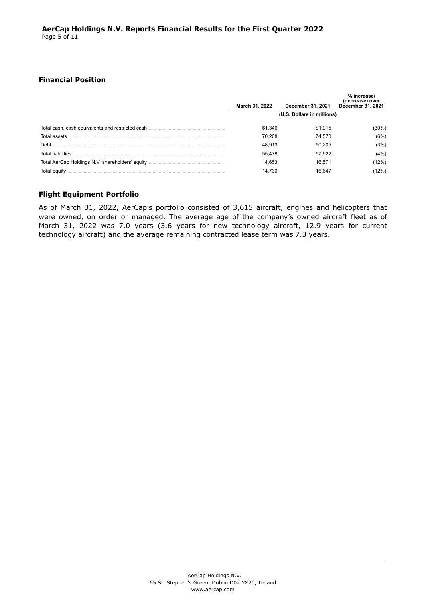### **Financial Position**

|                                                  | March 31, 2022             | <b>December 31, 2021</b> | % increase/<br>(decrease) over<br>December 31, 2021 |
|--------------------------------------------------|----------------------------|--------------------------|-----------------------------------------------------|
|                                                  | (U.S. Dollars in millions) |                          |                                                     |
| Total cash, cash equivalents and restricted cash | \$1,346                    | \$1,915                  | 30%)                                                |
| Total assets                                     | 70.208                     | 74.570                   | (6%)                                                |
| Debt                                             | 48,913                     | 50.205                   | (3%)                                                |
| Total liabilities                                | 55.478                     | 57.922                   | (4%)                                                |
|                                                  | 14.653                     | 16.571                   | 2%)                                                 |
| otal equitv                                      | 14.730                     | 16.64                    | $2\%)$                                              |

## **Flight Equipment Portfolio**

As of March 31, 2022, AerCap's portfolio consisted of 3,615 aircraft, engines and helicopters that were owned, on order or managed. The average age of the company's owned aircraft fleet as of March 31, 2022 was 7.0 years (3.6 years for new technology aircraft, 12.9 years for current technology aircraft) and the average remaining contracted lease term was 7.3 years.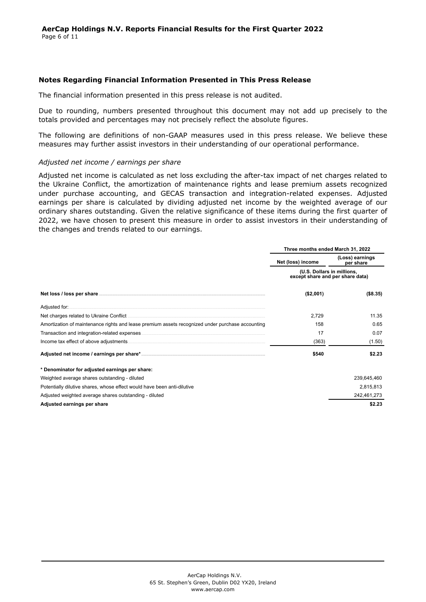#### **Notes Regarding Financial Information Presented in This Press Release**

The financial information presented in this press release is not audited.

Due to rounding, numbers presented throughout this document may not add up precisely to the totals provided and percentages may not precisely reflect the absolute figures.

The following are definitions of non-GAAP measures used in this press release. We believe these measures may further assist investors in their understanding of our operational performance.

#### *Adjusted net income / earnings per share*

Adjusted net income is calculated as net loss excluding the after-tax impact of net charges related to the Ukraine Conflict, the amortization of maintenance rights and lease premium assets recognized under purchase accounting, and GECAS transaction and integration-related expenses. Adjusted earnings per share is calculated by dividing adjusted net income by the weighted average of our ordinary shares outstanding. Given the relative significance of these items during the first quarter of 2022, we have chosen to present this measure in order to assist investors in their understanding of the changes and trends related to our earnings.

|                                                                                                  | Three months ended March 31, 2022                              |                              |  |  |
|--------------------------------------------------------------------------------------------------|----------------------------------------------------------------|------------------------------|--|--|
|                                                                                                  | Net (loss) income                                              | (Loss) earnings<br>per share |  |  |
|                                                                                                  | (U.S. Dollars in millions,<br>except share and per share data) |                              |  |  |
|                                                                                                  | (\$2,001)                                                      | ( \$8.35)                    |  |  |
| Adjusted for:                                                                                    |                                                                |                              |  |  |
|                                                                                                  | 2,729                                                          | 11.35                        |  |  |
| Amortization of maintenance rights and lease premium assets recognized under purchase accounting | 158                                                            | 0.65                         |  |  |
|                                                                                                  | 17                                                             | 0.07                         |  |  |
| Income tax effect of above adjustments                                                           | (363)                                                          | (1.50)                       |  |  |
|                                                                                                  | \$540                                                          | \$2.23                       |  |  |
| * Denominator for adjusted earnings per share:                                                   |                                                                |                              |  |  |
| Weighted average shares outstanding - diluted                                                    |                                                                | 239,645,460                  |  |  |
| Potentially dilutive shares, whose effect would have been anti-dilutive                          |                                                                | 2,815,813                    |  |  |
| Adjusted weighted average shares outstanding - diluted                                           |                                                                | 242,461,273                  |  |  |
| Adjusted earnings per share                                                                      |                                                                | \$2.23                       |  |  |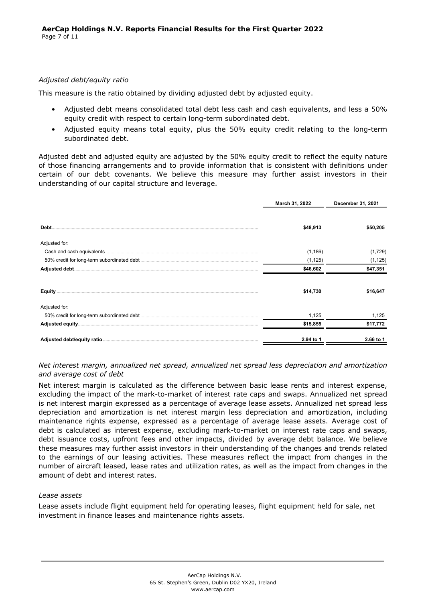### *Adjusted debt/equity ratio*

This measure is the ratio obtained by dividing adjusted debt by adjusted equity.

- Adjusted debt means consolidated total debt less cash and cash equivalents, and less a 50% equity credit with respect to certain long-term subordinated debt.
- Adjusted equity means total equity, plus the 50% equity credit relating to the long-term subordinated debt.

Adjusted debt and adjusted equity are adjusted by the 50% equity credit to reflect the equity nature of those financing arrangements and to provide information that is consistent with definitions under certain of our debt covenants. We believe this measure may further assist investors in their understanding of our capital structure and leverage.

|               | March 31, 2022 | December 31, 2021 |
|---------------|----------------|-------------------|
| Debt.         | \$48,913       | \$50,205          |
| Adjusted for: |                |                   |
|               | (1, 186)       | (1,729)           |
|               | (1, 125)       | (1, 125)          |
|               | \$46,602       | \$47,351          |
|               | \$14,730       | \$16,647          |
| Adjusted for: |                |                   |
|               | 1,125          | 1,125             |
|               | \$15,855       | \$17,772          |
|               | 2.94 to 1      | 2.66 to 1         |

*Net interest margin, annualized net spread, annualized net spread less depreciation and amortization and average cost of debt*

Net interest margin is calculated as the difference between basic lease rents and interest expense, excluding the impact of the mark-to-market of interest rate caps and swaps. Annualized net spread is net interest margin expressed as a percentage of average lease assets. Annualized net spread less depreciation and amortization is net interest margin less depreciation and amortization, including maintenance rights expense, expressed as a percentage of average lease assets. Average cost of debt is calculated as interest expense, excluding mark-to-market on interest rate caps and swaps, debt issuance costs, upfront fees and other impacts, divided by average debt balance. We believe these measures may further assist investors in their understanding of the changes and trends related to the earnings of our leasing activities. These measures reflect the impact from changes in the number of aircraft leased, lease rates and utilization rates, as well as the impact from changes in the amount of debt and interest rates.

#### *Lease assets*

Lease assets include flight equipment held for operating leases, flight equipment held for sale, net investment in finance leases and maintenance rights assets.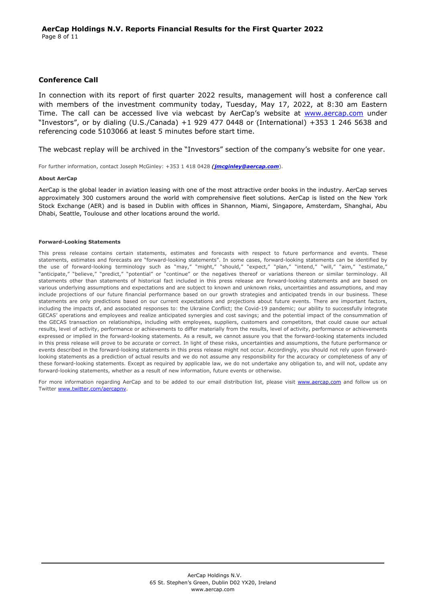#### **Conference Call**

In connection with its report of first quarter 2022 results, management will host a conference call with members of the investment community today, Tuesday, May 17, 2022, at 8:30 am Eastern Time. The call can be accessed live via webcast by AerCap's website at <www.aercap.com>under "Investors", or by dialing (U.S./Canada) +1 929 477 0448 or (International) +353 1 246 5638 and referencing code 5103066 at least 5 minutes before start time.

The webcast replay will be archived in the "Investors" section of the company's website for one year.

For further information, contact Joseph McGinley: +353 1 418 0428 *([jmcginley@aercap.com](jmcginley%40aercap.com)*).

#### **About AerCap**

AerCap is the global leader in aviation leasing with one of the most attractive order books in the industry. AerCap serves approximately 300 customers around the world with comprehensive fleet solutions. AerCap is listed on the New York Stock Exchange (AER) and is based in Dublin with offices in Shannon, Miami, Singapore, Amsterdam, Shanghai, Abu Dhabi, Seattle, Toulouse and other locations around the world.

#### **Forward-Looking Statements**

This press release contains certain statements, estimates and forecasts with respect to future performance and events. These statements, estimates and forecasts are "forward-looking statements". In some cases, forward-looking statements can be identified by the use of forward-looking terminology such as "may," "might," "should," "expect," "plan," "intend," "will," "aim," "estimate," "anticipate," "believe," "predict," "potential" or "continue" or the negatives thereof or variations thereon or similar terminology. All statements other than statements of historical fact included in this press release are forward-looking statements and are based on various underlying assumptions and expectations and are subject to known and unknown risks, uncertainties and assumptions, and may include projections of our future financial performance based on our growth strategies and anticipated trends in our business. These statements are only predictions based on our current expectations and projections about future events. There are important factors, including the impacts of, and associated responses to: the Ukraine Conflict; the Covid-19 pandemic; our ability to successfully integrate GECAS' operations and employees and realize anticipated synergies and cost savings; and the potential impact of the consummation of the GECAS transaction on relationships, including with employees, suppliers, customers and competitors, that could cause our actual results, level of activity, performance or achievements to differ materially from the results, level of activity, performance or achievements expressed or implied in the forward-looking statements. As a result, we cannot assure you that the forward-looking statements included in this press release will prove to be accurate or correct. In light of these risks, uncertainties and assumptions, the future performance or events described in the forward-looking statements in this press release might not occur. Accordingly, you should not rely upon forwardlooking statements as a prediction of actual results and we do not assume any responsibility for the accuracy or completeness of any of these forward-looking statements. Except as required by applicable law, we do not undertake any obligation to, and will not, update any forward-looking statements, whether as a result of new information, future events or otherwise.

For more information regarding AerCap and to be added to our email distribution list, please visit [www.aercap.com](http://www.aercap.com) and follow us on Twitter [www.twitter.com/aercapnv](http://www.twitter.com/aercapnv).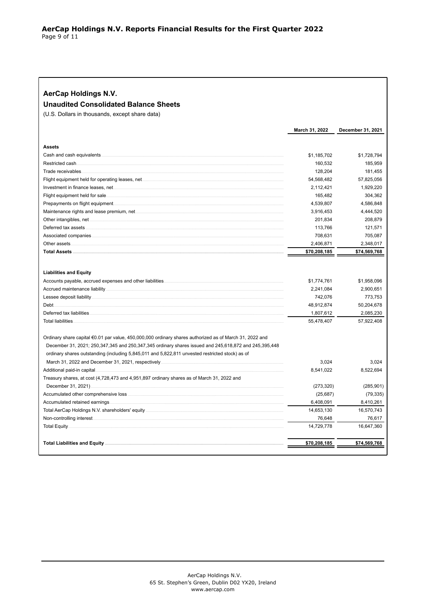| <b>AerCap Holdings N.V.</b>                                                                             |                |                   |
|---------------------------------------------------------------------------------------------------------|----------------|-------------------|
| <b>Unaudited Consolidated Balance Sheets</b>                                                            |                |                   |
| (U.S. Dollars in thousands, except share data)                                                          |                |                   |
|                                                                                                         | March 31, 2022 | December 31, 2021 |
| <b>Assets</b>                                                                                           |                |                   |
|                                                                                                         | \$1,185,702    | \$1,728,794       |
| Restricted cash.                                                                                        | 160,532        | 185,959           |
| Trade receivables.                                                                                      | 128,204        | 181,455           |
|                                                                                                         | 54,568,482     | 57,825,056        |
|                                                                                                         | 2,112,421      | 1,929,220         |
| Flight equipment held for sale.                                                                         | 165,482        | 304,362           |
|                                                                                                         | 4,539,807      | 4,586,848         |
|                                                                                                         | 3,916,453      | 4,444,520         |
|                                                                                                         | 201,834        | 208,879           |
| Deferred tax assets                                                                                     | 113,766        | 121,571           |
| Associated companies.                                                                                   | 708,631        | 705,087           |
| Other assets                                                                                            | 2,406,871      | 2,348,017         |
|                                                                                                         | \$70,208,185   | \$74,569,768      |
| <b>Liabilities and Equity</b>                                                                           |                |                   |
|                                                                                                         | \$1,774,761    | \$1,958,096       |
|                                                                                                         | 2,241,084      | 2,900,651         |
|                                                                                                         | 742,076        | 773,753           |
| Debt.                                                                                                   | 48,912,874     | 50,204,678        |
|                                                                                                         | 1,807,612      | 2,085,230         |
| <b>Total liabilities</b>                                                                                | 55,478,407     | 57,922,408        |
|                                                                                                         |                |                   |
| Ordinary share capital €0.01 par value, 450,000,000 ordinary shares authorized as of March 31, 2022 and |                |                   |
| December 31, 2021; 250,347,345 and 250,347,345 ordinary shares issued and 245,618,872 and 245,395,448   |                |                   |
| ordinary shares outstanding (including 5,845,011 and 5,822,811 unvested restricted stock) as of         |                |                   |
|                                                                                                         | 3,024          | 3,024             |
| Additional paid-in capital.                                                                             | 8,541,022      | 8,522,694         |
| Treasury shares, at cost (4,728,473 and 4,951,897 ordinary shares as of March 31, 2022 and              |                |                   |
|                                                                                                         | (273, 320)     | (285, 901)        |
|                                                                                                         | (25, 687)      | (79, 335)         |
| Accumulated retained earnings                                                                           | 6,408,091      | 8,410,261         |
|                                                                                                         | 14,653,130     | 16,570,743        |
|                                                                                                         | 76,648         | 76,617            |
| Total Equity.                                                                                           | 14,729,778     | 16,647,360        |
|                                                                                                         | \$70,208,185   | \$74,569,768      |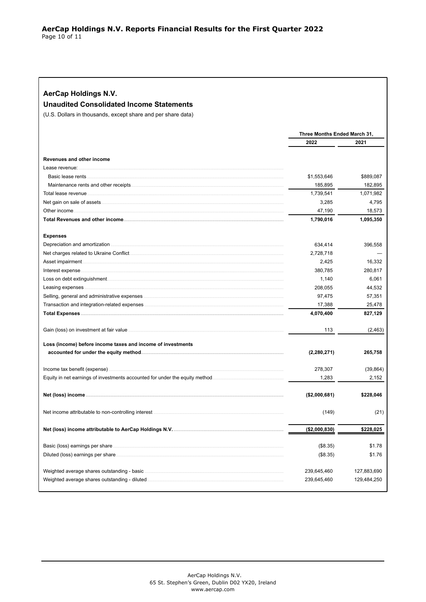| AerCap Holdings N.V. |  |
|----------------------|--|
|----------------------|--|

**Unaudited Consolidated Income Statements** 

(U.S. Dollars in thousands, except share and per share data)

|                                                                             | Three Months Ended March 31, |             |
|-----------------------------------------------------------------------------|------------------------------|-------------|
|                                                                             | 2022                         | 2021        |
|                                                                             |                              |             |
| Revenues and other income                                                   |                              |             |
| Lease revenue:                                                              |                              |             |
|                                                                             | \$1,553,646                  | \$889,087   |
|                                                                             | 185,895                      | 182,895     |
| Total lease revenue.                                                        | 1,739,541                    | 1,071,982   |
|                                                                             | 3,285                        | 4,795       |
| Other income                                                                | 47,190                       | 18,573      |
|                                                                             | 1,790,016                    | 1,095,350   |
| <b>Expenses</b>                                                             |                              |             |
| Depreciation and amortization                                               | 634,414                      | 396,558     |
|                                                                             | 2,728,718                    |             |
| Asset impairment.                                                           | 2,425                        | 16,332      |
| Interest expense                                                            | 380,785                      | 280,817     |
|                                                                             | 1,140                        | 6,061       |
| Leasing expenses                                                            | 208,055                      | 44,532      |
|                                                                             | 97,475                       | 57,351      |
| Transaction and integration-related expenses                                | 17,388                       | 25,478      |
|                                                                             | 4,070,400                    | 827,129     |
|                                                                             | 113                          | (2, 463)    |
| Loss (income) before income taxes and income of investments                 |                              |             |
|                                                                             | (2, 280, 271)                | 265,758     |
|                                                                             |                              |             |
|                                                                             | 278,307                      | (39, 864)   |
| Equity in net earnings of investments accounted for under the equity method | 1,283                        | 2,152       |
|                                                                             | (\$2,000,681)                | \$228,046   |
|                                                                             | (149)                        | (21)        |
|                                                                             | ( \$2,000,830)               | \$228,025   |
|                                                                             |                              |             |
|                                                                             | (\$8.35)                     | \$1.78      |
|                                                                             | (\$8.35)                     | \$1.76      |
|                                                                             | 239,645,460                  | 127,883,690 |
|                                                                             | 239,645,460                  | 129,484,250 |
|                                                                             |                              |             |